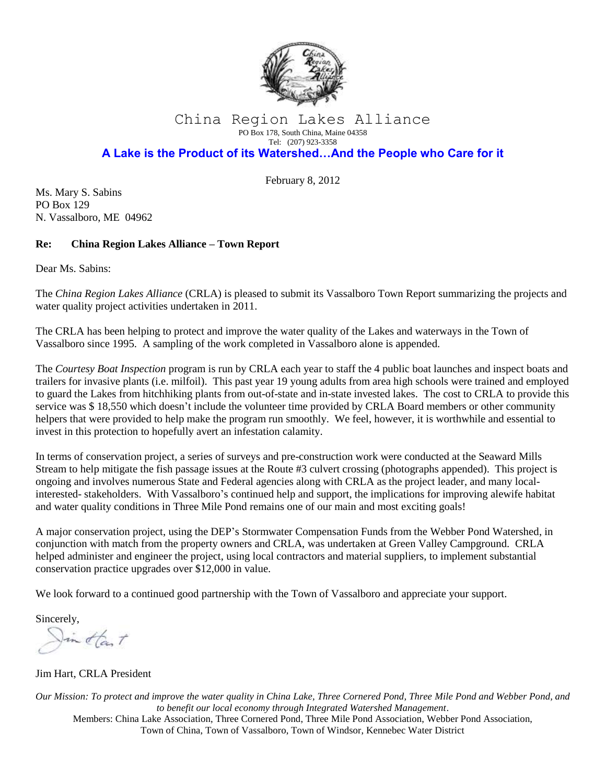

## China Region Lakes Alliance PO Box 178, South China, Maine 04358 Tel: (207) 923-3358

## **A Lake is the Product of its Watershed…And the People who Care for it**

February 8, 2012

Ms. Mary S. Sabins PO Box 129 N. Vassalboro, ME 04962

## **Re: China Region Lakes Alliance – Town Report**

Dear Ms. Sabins:

The *China Region Lakes Alliance* (CRLA) is pleased to submit its Vassalboro Town Report summarizing the projects and water quality project activities undertaken in 2011.

The CRLA has been helping to protect and improve the water quality of the Lakes and waterways in the Town of Vassalboro since 1995. A sampling of the work completed in Vassalboro alone is appended.

The *Courtesy Boat Inspection* program is run by CRLA each year to staff the 4 public boat launches and inspect boats and trailers for invasive plants (i.e. milfoil). This past year 19 young adults from area high schools were trained and employed to guard the Lakes from hitchhiking plants from out-of-state and in-state invested lakes. The cost to CRLA to provide this service was \$ 18,550 which doesn't include the volunteer time provided by CRLA Board members or other community helpers that were provided to help make the program run smoothly. We feel, however, it is worthwhile and essential to invest in this protection to hopefully avert an infestation calamity.

In terms of conservation project, a series of surveys and pre-construction work were conducted at the Seaward Mills Stream to help mitigate the fish passage issues at the Route #3 culvert crossing (photographs appended). This project is ongoing and involves numerous State and Federal agencies along with CRLA as the project leader, and many localinterested- stakeholders. With Vassalboro's continued help and support, the implications for improving alewife habitat and water quality conditions in Three Mile Pond remains one of our main and most exciting goals!

A major conservation project, using the DEP's Stormwater Compensation Funds from the Webber Pond Watershed, in conjunction with match from the property owners and CRLA, was undertaken at Green Valley Campground. CRLA helped administer and engineer the project, using local contractors and material suppliers, to implement substantial conservation practice upgrades over \$12,000 in value.

We look forward to a continued good partnership with the Town of Vassalboro and appreciate your support.

Sincerely,

In tast

Jim Hart, CRLA President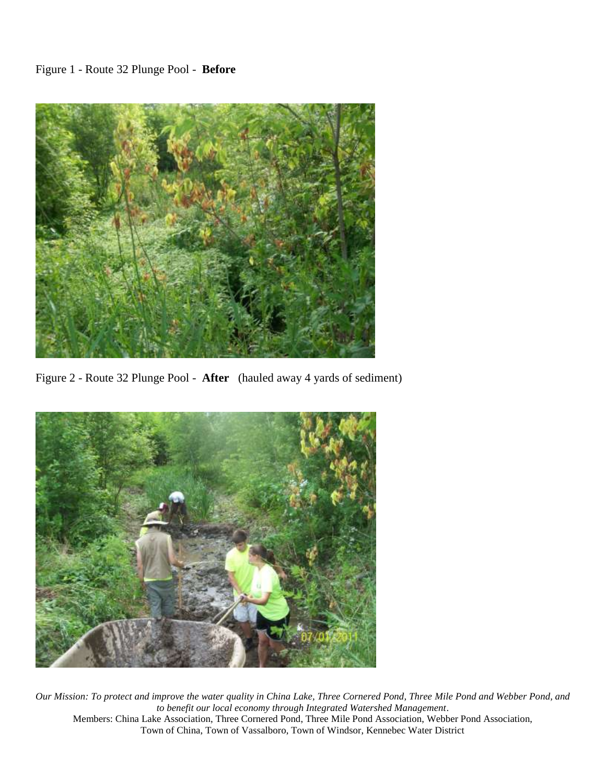

Figure 2 - Route 32 Plunge Pool - **After** (hauled away 4 yards of sediment)

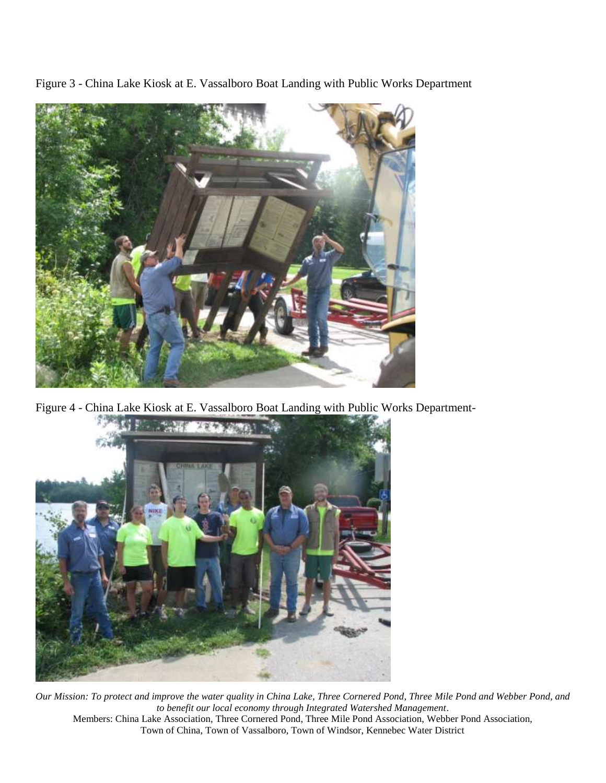Figure 3 - China Lake Kiosk at E. Vassalboro Boat Landing with Public Works Department



Figure 4 - China Lake Kiosk at E. Vassalboro Boat Landing with Public Works Department-

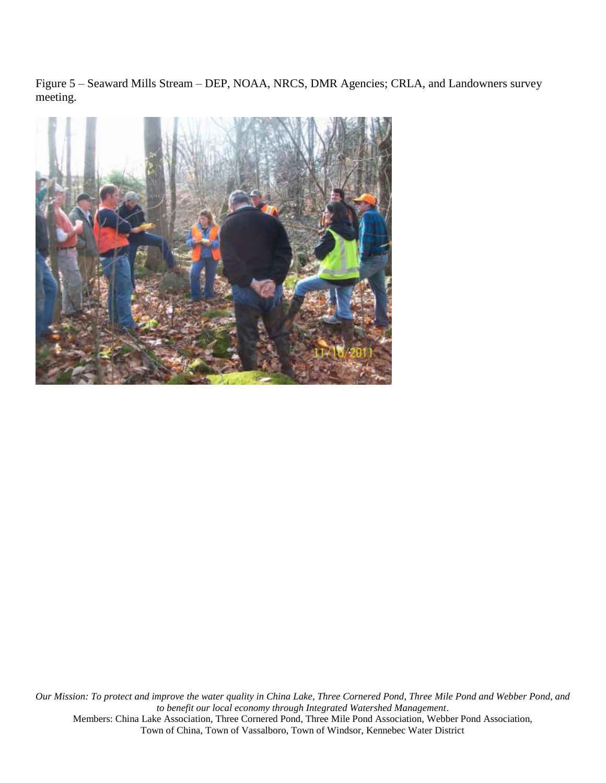Figure 5 – Seaward Mills Stream – DEP, NOAA, NRCS, DMR Agencies; CRLA, and Landowners survey meeting.

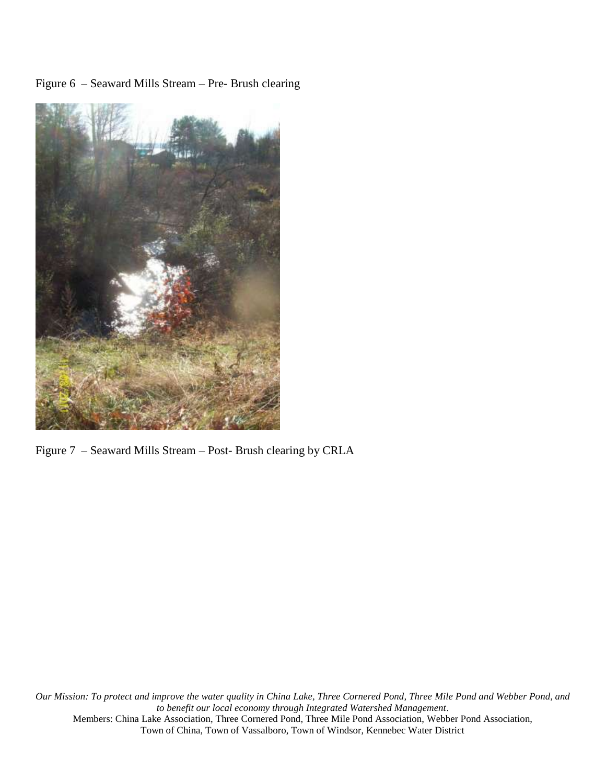Figure 6 – Seaward Mills Stream – Pre- Brush clearing



Figure 7 – Seaward Mills Stream – Post- Brush clearing by CRLA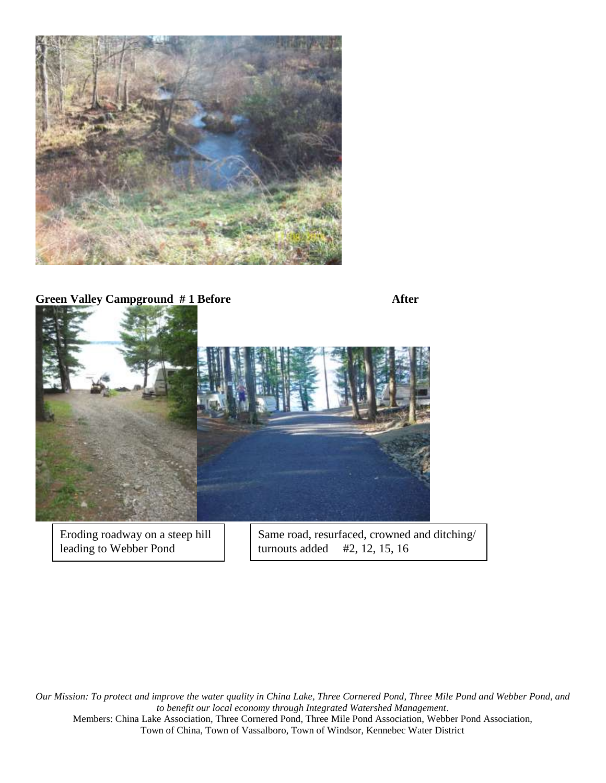

**Green Valley Campground # 1 Before After**

Eroding roadway on a steep hill leading to Webber Pond

Same road, resurfaced, crowned and ditching/ turnouts added #2, 12, 15, 16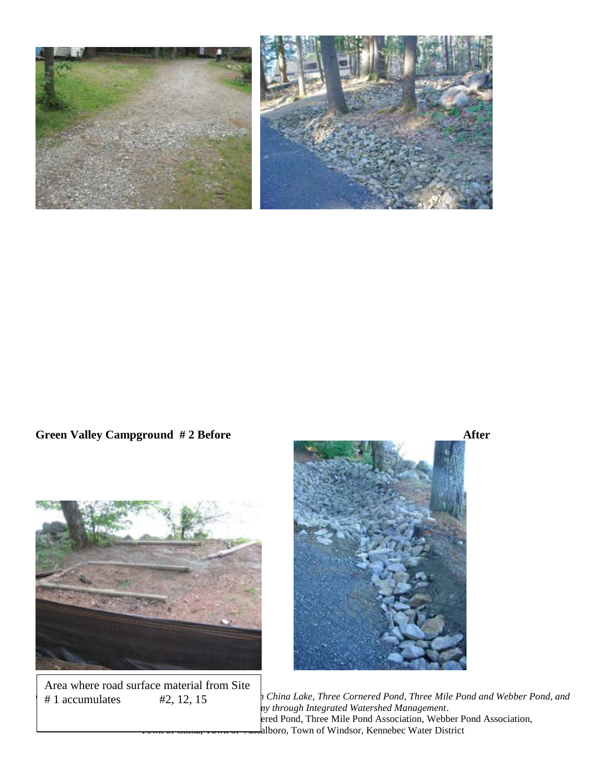

**Green Valley Campground # 2 Before After**





Area where road surface material from Site #1 accumulates

*Our Mission: To protect and improve the water quality in China Lake, Three Cornered Pond, Three Mile Pond and Webber Pond, and to benefit our local economy through Integrated Watershed Management*. ered Pond, Three Mile Pond Association, Webber Pond Association, alboro, Town of Windsor, Kennebec Water District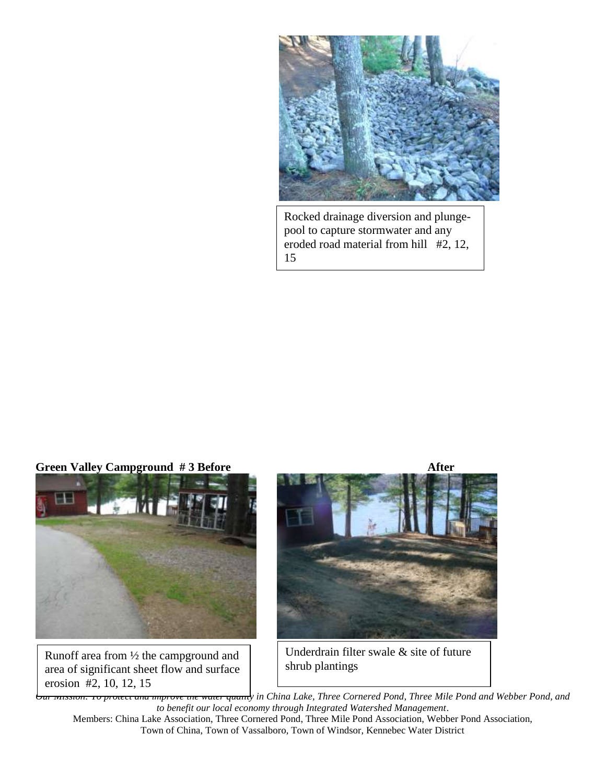

Rocked drainage diversion and plungepool to capture stormwater and any eroded road material from hill #2, 12, 15



Runoff area from ½ the campground and area of significant sheet flow and surface erosion #2, 10, 12, 15



Underdrain filter swale & site of future shrub plantings

*Our Mission: To protect and improve the water quality in China Lake, Three Cornered Pond, Three Mile Pond and Webber Pond, and to benefit our local economy through Integrated Watershed Management*.

Members: China Lake Association, Three Cornered Pond, Three Mile Pond Association, Webber Pond Association, Town of China, Town of Vassalboro, Town of Windsor, Kennebec Water District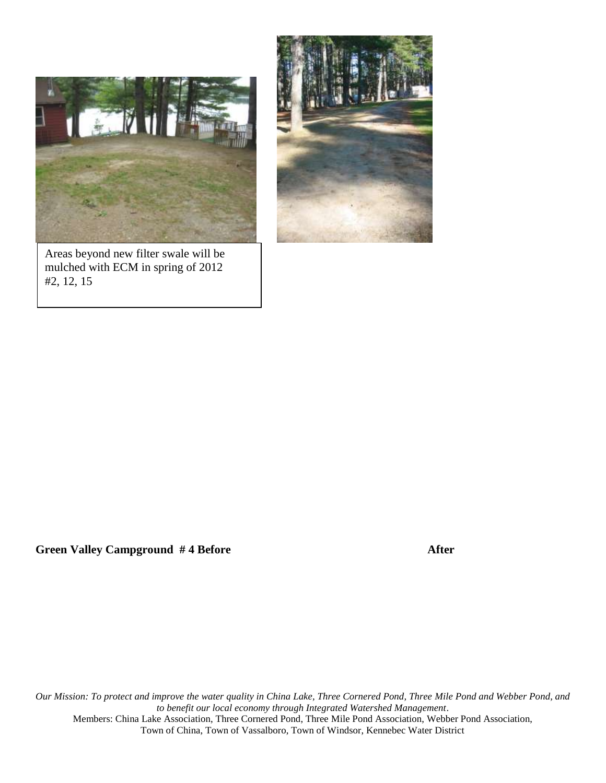

Areas beyond new filter swale will be mulched with ECM in spring of 2012 #2, 12, 15



Green Valley Campground #4 Before After